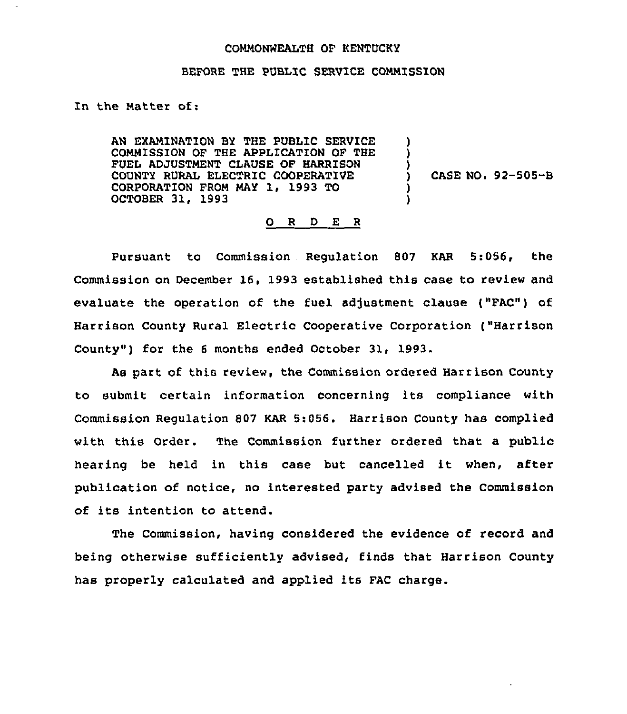## COMMONWEALTH OF KENTUCKY

## BEFORE THE PUBLIC SERVICE COMMISSION

## In the Matter of:

AN EXAMINATION BY THE PUBLIC SERVICE COMMISSION OF THE APPLICATION OF THE FUEL ADJUSTMENT CLAUSE OF HARRISON COUNTY RURAL ELECTRIC COOPERATIVE CORPORATION FROM MAY 1, 1993 TO OCTOBER 31, 1993

) CASE NO. 92-505-B

) ) )

> ) )

## 0 <sup>R</sup> <sup>D</sup> E <sup>R</sup>

Pursuant to Commission Regulation 807 KAR 5:056, the Commission on December 16, 1993 established this case to review and evaluate the operation of the fuel adjustment clause ("FAC") of Harrison County Rural Electric Cooperative Corporation ("Harrison County") for the 6 months ended October 31, 1993.

As part of this review, the Commission ordered Harrison County to submit certain information concerning its compliance with Commission Regulation 807 KAR 5:056. Harrison County has complied with this Order. The Commission further ordered that a public hearing be held in this case but cancelled it when, after publication of notice, no interested party advised the Commission of its intention to attend.

The Commission, having considered the evidence of record and being otherwise sufficiently advised, finds that Harrison County has properly calculated and applied its FAC charge.